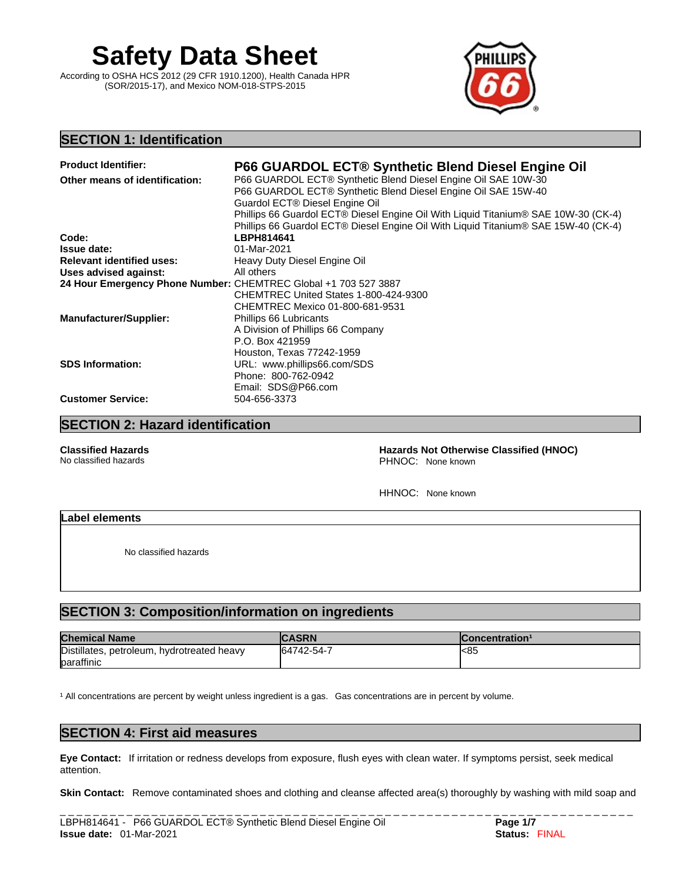# **Safety Data Sheet**

According to OSHA HCS 2012 (29 CFR 1910.1200), Health Canada HPR (SOR/2015-17), and Mexico NOM-018-STPS-2015



# **SECTION 1: Identification**

| <b>Product Identifier:</b>                                      | <b>P66 GUARDOL ECT® Synthetic Blend Diesel Engine Oil</b>                          |
|-----------------------------------------------------------------|------------------------------------------------------------------------------------|
| Other means of identification:                                  | P66 GUARDOL ECT® Synthetic Blend Diesel Engine Oil SAE 10W-30                      |
|                                                                 | P66 GUARDOL ECT® Synthetic Blend Diesel Engine Oil SAE 15W-40                      |
|                                                                 | Guardol ECT® Diesel Engine Oil                                                     |
|                                                                 | Phillips 66 Guardol ECT® Diesel Engine Oil With Liquid Titanium® SAE 10W-30 (CK-4) |
|                                                                 | Phillips 66 Guardol ECT® Diesel Engine Oil With Liquid Titanium® SAE 15W-40 (CK-4) |
| Code:                                                           | LBPH814641                                                                         |
| <b>Issue date:</b>                                              | 01-Mar-2021                                                                        |
| <b>Relevant identified uses:</b>                                | Heavy Duty Diesel Engine Oil                                                       |
| Uses advised against:                                           | All others                                                                         |
| 24 Hour Emergency Phone Number: CHEMTREC Global +1 703 527 3887 |                                                                                    |
|                                                                 | CHEMTREC United States 1-800-424-9300                                              |
|                                                                 | CHEMTREC Mexico 01-800-681-9531                                                    |
| <b>Manufacturer/Supplier:</b>                                   | Phillips 66 Lubricants                                                             |
|                                                                 | A Division of Phillips 66 Company                                                  |
|                                                                 | P.O. Box 421959                                                                    |
|                                                                 | Houston, Texas 77242-1959                                                          |
| <b>SDS Information:</b>                                         | URL: www.phillips66.com/SDS                                                        |
|                                                                 | Phone: 800-762-0942                                                                |
|                                                                 | Email: SDS@P66.com                                                                 |
| <b>Customer Service:</b>                                        | 504-656-3373                                                                       |

# **SECTION 2: Hazard identification**

**Classified Hazards Hazards Not Otherwise Classified (HNOC)**  PHNOC: None known

HHNOC: None known

#### **Label elements**

No classified hazards

# **SECTION 3: Composition/information on ingredients**

| <b>Chemical Name</b>                       | <b>CASRN</b> | lConcentration <sup>1</sup> |
|--------------------------------------------|--------------|-----------------------------|
| Distillates, petroleum, hydrotreated heavy | 64742-54-7   | l<85                        |
| baraffinic                                 |              |                             |

<sup>1</sup> All concentrations are percent by weight unless ingredient is a gas. Gas concentrations are in percent by volume.

# **SECTION 4: First aid measures**

**Eye Contact:** If irritation or redness develops from exposure, flush eyes with clean water. If symptoms persist, seek medical attention.

**Skin Contact:** Remove contaminated shoes and clothing and cleanse affected area(s) thoroughly by washing with mild soap and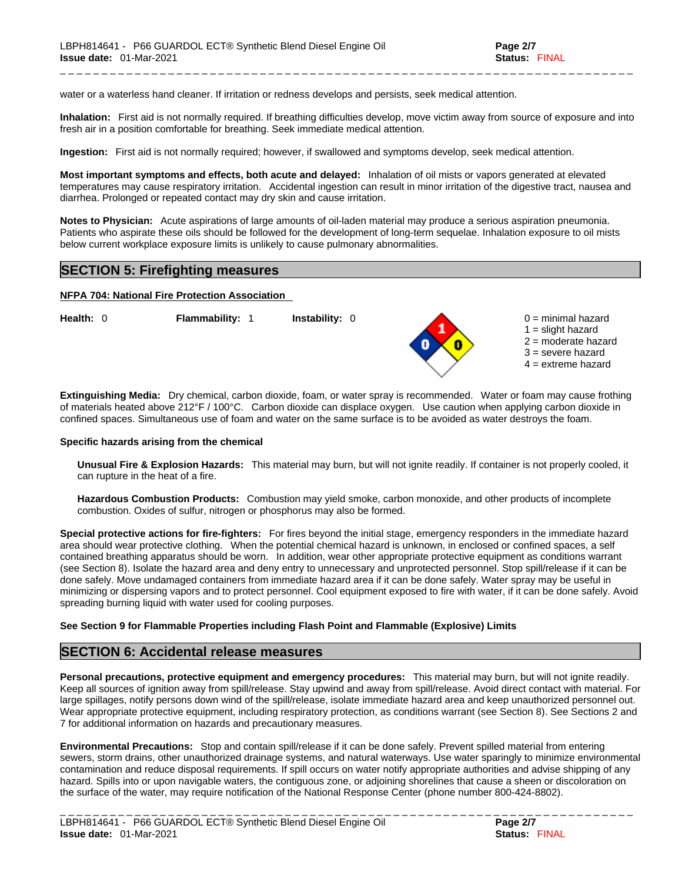water or a waterless hand cleaner. If irritation or redness develops and persists, seek medical attention.

Inhalation: First aid is not normally required. If breathing difficulties develop, move victim away from source of exposure and into fresh air in a position comfortable for breathing. Seek immediate medical attention.

\_ \_ \_ \_ \_ \_ \_ \_ \_ \_ \_ \_ \_ \_ \_ \_ \_ \_ \_ \_ \_ \_ \_ \_ \_ \_ \_ \_ \_ \_ \_ \_ \_ \_ \_ \_ \_ \_ \_ \_ \_ \_ \_ \_ \_ \_ \_ \_ \_ \_ \_ \_ \_ \_ \_ \_ \_ \_ \_ \_ \_ \_ \_ \_ \_ \_ \_ \_ \_

**Ingestion:** First aid is not normally required; however, if swallowed and symptoms develop, seek medical attention.

**Most important symptoms and effects, both acute and delayed:** Inhalation of oil mists or vapors generated at elevated temperatures may cause respiratory irritation. Accidental ingestion can result in minor irritation of the digestive tract, nausea and diarrhea. Prolonged or repeated contact may dry skin and cause irritation.

**Notes to Physician:** Acute aspirations of large amounts of oil-laden material may produce a serious aspiration pneumonia. Patients who aspirate these oils should be followed for the development of long-term sequelae. Inhalation exposure to oil mists below current workplace exposure limits is unlikely to cause pulmonary abnormalities.

### **SECTION 5: Firefighting measures**

#### **NFPA 704: National Fire Protection Association**

**Health:** 0 **Flammability:** 1 **Instability:** 0 0 = minimal hazard

- 
- $1 =$  slight hazard
- 2 = moderate hazard
- 3 = severe hazard
- $4 =$  extreme hazard

**Extinguishing Media:** Dry chemical, carbon dioxide, foam, or water spray is recommended. Water or foam may cause frothing of materials heated above 212°F / 100°C. Carbon dioxide can displace oxygen. Use caution when applying carbon dioxide in confined spaces. Simultaneous use of foam and water on the same surface is to be avoided as water destroys the foam.

#### **Specific hazards arising from the chemical**

**Unusual Fire & Explosion Hazards:** This material may burn, butwill not ignite readily. If container is not properly cooled, it can rupture in the heat of a fire.

**Hazardous Combustion Products:** Combustion may yield smoke, carbon monoxide, and other products of incomplete combustion. Oxides of sulfur, nitrogen or phosphorus may also be formed.

**Special protective actions for fire-fighters:** For fires beyond the initial stage, emergency responders in the immediate hazard area should wear protective clothing. When the potential chemical hazard is unknown, in enclosed or confined spaces, a self contained breathing apparatus should be worn. In addition, wear other appropriate protective equipment as conditions warrant (see Section 8). Isolate the hazard area and deny entry to unnecessary and unprotected personnel. Stop spill/release if it can be done safely. Move undamaged containers from immediate hazard area if it can be done safely. Water spray may be useful in minimizing or dispersing vapors and to protect personnel. Cool equipment exposed to fire with water, if it can be done safely. Avoid spreading burning liquid with water used for cooling purposes.

#### **See Section 9 for Flammable Properties including Flash Point and Flammable (Explosive) Limits**

#### **SECTION 6: Accidental release measures**

**Personal precautions, protective equipment and emergency procedures:** This material may burn, butwill not ignite readily. Keep all sources of ignition away from spill/release. Stay upwind and away from spill/release. Avoid direct contact with material. For large spillages, notify persons down wind of the spill/release, isolate immediate hazard area and keep unauthorized personnel out. Wear appropriate protective equipment, including respiratory protection, as conditions warrant (see Section 8). See Sections 2 and 7 for additional information on hazards and precautionary measures.

**Environmental Precautions:** Stop and contain spill/release if it can be done safely. Prevent spilled material from entering sewers, storm drains, other unauthorized drainage systems, and natural waterways. Use water sparingly to minimize environmental contamination and reduce disposal requirements. If spill occurs on water notify appropriate authorities and advise shipping of any hazard. Spills into or upon navigable waters, the contiguous zone, or adjoining shorelines that cause a sheen or discoloration on the surface of the water, may require notification of the National Response Center (phone number 800-424-8802).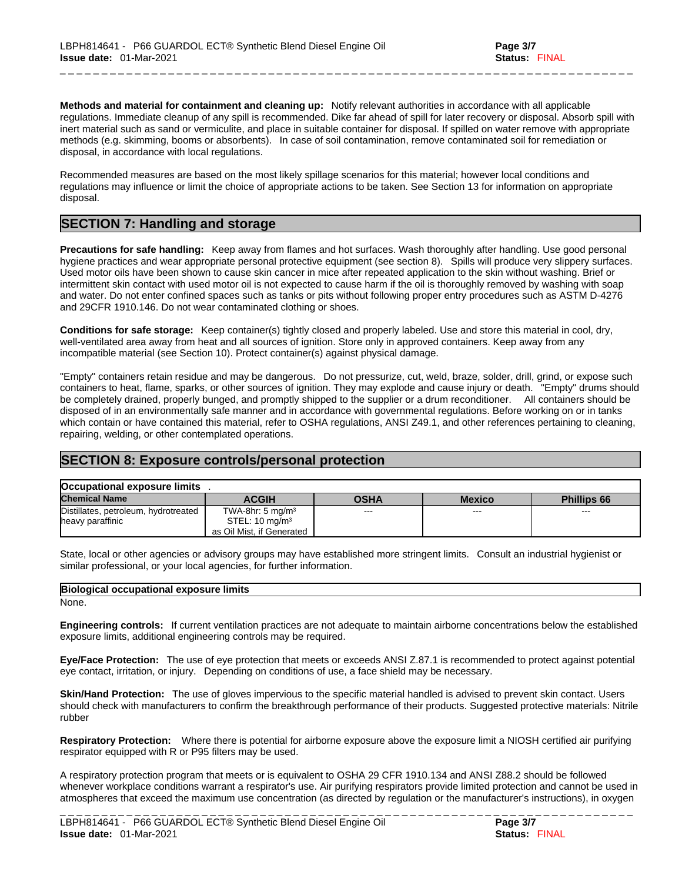**Methods and material for containment and cleaning up:** Notify relevant authorities in accordance with all applicable regulations. Immediate cleanup of any spill is recommended. Dike far ahead of spill for later recovery or disposal. Absorb spill with inert material such as sand or vermiculite, and place in suitable container for disposal. If spilled on water remove with appropriate methods (e.g. skimming, booms or absorbents). In case of soil contamination, remove contaminated soil for remediation or disposal, in accordance with local regulations.

\_ \_ \_ \_ \_ \_ \_ \_ \_ \_ \_ \_ \_ \_ \_ \_ \_ \_ \_ \_ \_ \_ \_ \_ \_ \_ \_ \_ \_ \_ \_ \_ \_ \_ \_ \_ \_ \_ \_ \_ \_ \_ \_ \_ \_ \_ \_ \_ \_ \_ \_ \_ \_ \_ \_ \_ \_ \_ \_ \_ \_ \_ \_ \_ \_ \_ \_ \_ \_

Recommended measures are based on the most likely spillage scenarios for this material; however local conditions and regulations may influence or limit the choice of appropriate actions to be taken. See Section 13 for information on appropriate disposal.

# **SECTION 7: Handling and storage**

**Precautions for safe handling:** Keep away from flames and hot surfaces. Wash thoroughly after handling. Use good personal hygiene practices and wear appropriate personal protective equipment (see section 8). Spills will produce very slippery surfaces. Used motor oils have been shown to cause skin cancer in mice after repeated application to the skin without washing. Brief or intermittent skin contact with used motor oil is not expected to cause harm if the oil is thoroughly removed by washing with soap and water. Do not enter confined spaces such as tanks or pits without following proper entry procedures such as ASTM D-4276 and 29CFR 1910.146. Do not wear contaminated clothing or shoes.

**Conditions for safe storage:** Keep container(s) tightly closed and properly labeled. Use and store this material in cool, dry, well-ventilated area away from heat and all sources of ignition. Store only in approved containers. Keep away from any incompatible material (see Section 10). Protect container(s) against physical damage.

"Empty" containers retain residue and may be dangerous. Do not pressurize, cut, weld, braze, solder, drill, grind, or expose such containers to heat, flame, sparks, or other sources of ignition. They may explode and cause injury or death."Empty" drums should be completely drained, properly bunged, and promptly shipped to the supplier or a drum reconditioner. All containers should be disposed of in an environmentally safe manner and in accordance with governmental regulations. Before working on or in tanks which contain or have contained this material, refer to OSHA regulations, ANSI Z49.1, and other references pertaining to cleaning, repairing, welding, or other contemplated operations.

# **SECTION 8: Exposure controls/personal protection**

| Occupational exposure limits         |                              |             |               |             |
|--------------------------------------|------------------------------|-------------|---------------|-------------|
| <b>Chemical Name</b>                 | <b>ACGIH</b>                 | <b>OSHA</b> | <b>Mexico</b> | Phillips 66 |
| Distillates, petroleum, hydrotreated | TWA-8hr: 5 mg/m <sup>3</sup> | $- - -$     | $- - -$       | $- - -$     |
| heavy paraffinic                     | STEL: $10 \text{ mg/m}^3$    |             |               |             |
|                                      | as Oil Mist, if Generated    |             |               |             |

State, local or other agencies or advisory groups may have established more stringent limits. Consult an industrial hygienist or similar professional, or your local agencies, for further information.

#### **Biological occupational exposure limits**

None.

**Engineering controls:** If current ventilation practices are not adequate to maintain airborne concentrations below the established exposure limits, additional engineering controls may be required.

**Eye/Face Protection:** The use of eye protection that meets or exceeds ANSI Z.87.1 isrecommended to protect against potential eye contact, irritation, or injury. Depending on conditions of use, a face shield may be necessary.

**Skin/Hand Protection:** The use of gloves impervious to the specific material handled is advised to prevent skin contact. Users should check with manufacturers to confirm the breakthrough performance of their products. Suggested protective materials: Nitrile rubber

**Respiratory Protection:** Where there is potential for airborne exposure above the exposure limit a NIOSH certified air purifying respirator equipped with R or P95 filters may be used.

A respiratory protection program that meets or is equivalent to OSHA 29 CFR 1910.134 and ANSI Z88.2 should be followed whenever workplace conditions warrant a respirator's use. Air purifying respirators provide limited protection and cannot be used in atmospheres that exceed the maximum use concentration (as directed by regulation or the manufacturer's instructions), in oxygen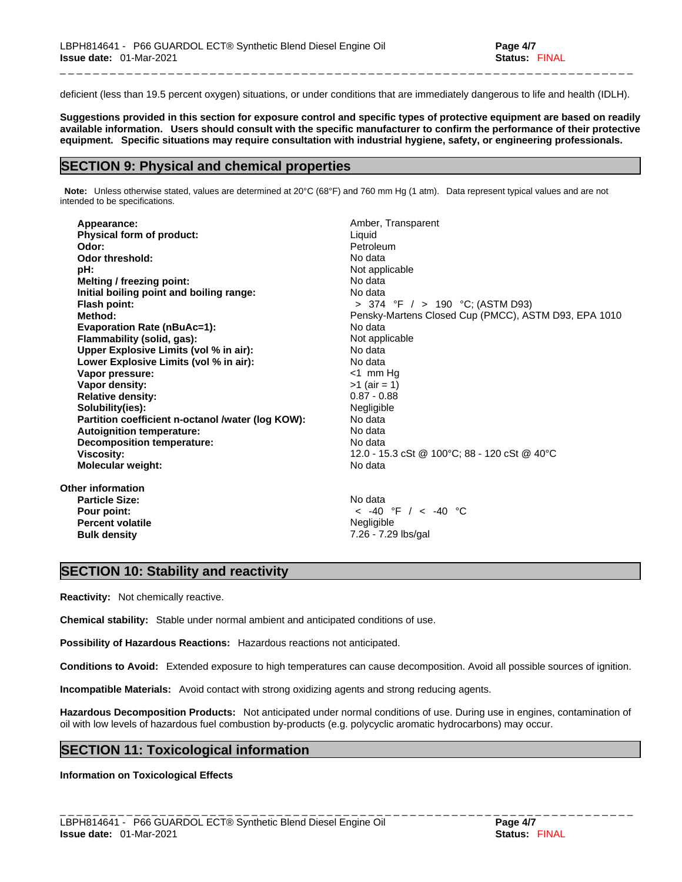deficient (less than 19.5 percent oxygen) situations, or under conditions that are immediately dangerous to life and health (IDLH).

\_ \_ \_ \_ \_ \_ \_ \_ \_ \_ \_ \_ \_ \_ \_ \_ \_ \_ \_ \_ \_ \_ \_ \_ \_ \_ \_ \_ \_ \_ \_ \_ \_ \_ \_ \_ \_ \_ \_ \_ \_ \_ \_ \_ \_ \_ \_ \_ \_ \_ \_ \_ \_ \_ \_ \_ \_ \_ \_ \_ \_ \_ \_ \_ \_ \_ \_ \_ \_

Suggestions provided in this section for exposure control and specific types of protective equipment are based on readily available information. Users should consult with the specific manufacturer to confirm the performance of their protective **equipment. Specific situations may require consultation with industrial hygiene, safety, or engineering professionals.**

### **SECTION 9: Physical and chemical properties**

**Note:** Unless otherwise stated, values are determined at 20°C (68°F) and 760 mm Hg (1 atm). Data represent typical values and are not intended to be specifications.

| Appearance:                                       | Amber, Transparent                                   |
|---------------------------------------------------|------------------------------------------------------|
| <b>Physical form of product:</b>                  | Liquid                                               |
| Odor:                                             | Petroleum                                            |
| Odor threshold:                                   | No data                                              |
| pH:                                               | Not applicable                                       |
| Melting / freezing point:                         | No data                                              |
| Initial boiling point and boiling range:          | No data                                              |
| Flash point:                                      | > 374 °F $/$ > 190 °C; (ASTM D93)                    |
| Method:                                           | Pensky-Martens Closed Cup (PMCC), ASTM D93, EPA 1010 |
| <b>Evaporation Rate (nBuAc=1):</b>                | No data                                              |
| Flammability (solid, gas):                        | Not applicable                                       |
| Upper Explosive Limits (vol % in air):            | No data                                              |
| Lower Explosive Limits (vol % in air):            | No data                                              |
| Vapor pressure:                                   | $<$ 1 mm Hg                                          |
| Vapor density:                                    | $>1$ (air = 1)                                       |
| <b>Relative density:</b>                          | $0.87 - 0.88$                                        |
| Solubility(ies):                                  | Negligible                                           |
| Partition coefficient n-octanol /water (log KOW): | No data                                              |
| <b>Autoignition temperature:</b>                  | No data                                              |
| Decomposition temperature:                        | No data                                              |
| Viscosity:                                        | 12.0 - 15.3 cSt @ 100°C; 88 - 120 cSt @ 40°C         |
| <b>Molecular weight:</b>                          | No data                                              |
| Other information                                 |                                                      |
| <b>Particle Size:</b>                             | No data                                              |
| Pour point:                                       | $<$ -40 °F / $<$ -40 °C                              |
| <b>Percent volatile</b>                           | Negligible                                           |
| <b>Bulk density</b>                               | 7.26 - 7.29 lbs/gal                                  |

# **SECTION 10: Stability and reactivity**

**Reactivity:** Not chemically reactive.

**Chemical stability:** Stable under normal ambient and anticipated conditions of use.

**Possibility of Hazardous Reactions:** Hazardous reactions not anticipated.

**Conditions to Avoid:** Extended exposure to high temperatures can cause decomposition. Avoid all possible sources of ignition.

**Incompatible Materials:** Avoid contact with strong oxidizing agents and strong reducing agents.

**Hazardous Decomposition Products:** Not anticipated under normal conditions of use. During use in engines, contamination of oil with low levels of hazardous fuel combustion by-products (e.g. polycyclic aromatic hydrocarbons) may occur.

# **SECTION 11: Toxicological information**

**Information on Toxicological Effects**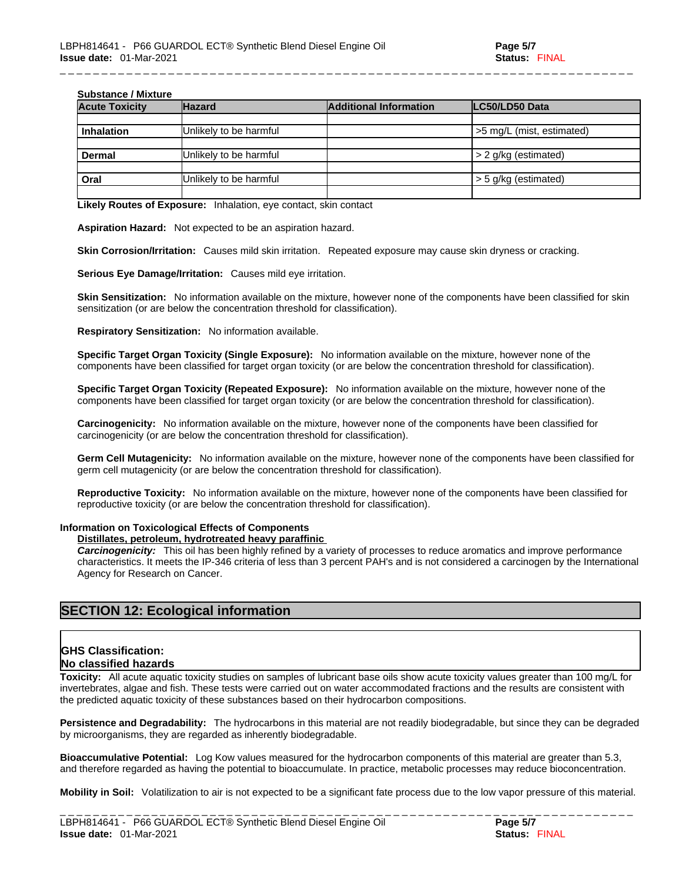#### **Substance / Mixture**

| oupolunoc / Mialul c  |                        |                               |                           |  |
|-----------------------|------------------------|-------------------------------|---------------------------|--|
| <b>Acute Toxicity</b> | <b>Hazard</b>          | <b>Additional Information</b> | LC50/LD50 Data            |  |
|                       |                        |                               |                           |  |
| <b>Inhalation</b>     | Unlikely to be harmful |                               | >5 mg/L (mist, estimated) |  |
|                       |                        |                               |                           |  |
| Dermal                | Unlikely to be harmful |                               | $>$ 2 g/kg (estimated)    |  |
|                       |                        |                               |                           |  |
| Oral                  | Unlikely to be harmful |                               | $>$ 5 g/kg (estimated)    |  |
|                       |                        |                               |                           |  |

\_ \_ \_ \_ \_ \_ \_ \_ \_ \_ \_ \_ \_ \_ \_ \_ \_ \_ \_ \_ \_ \_ \_ \_ \_ \_ \_ \_ \_ \_ \_ \_ \_ \_ \_ \_ \_ \_ \_ \_ \_ \_ \_ \_ \_ \_ \_ \_ \_ \_ \_ \_ \_ \_ \_ \_ \_ \_ \_ \_ \_ \_ \_ \_ \_ \_ \_ \_ \_

**Likely Routes of Exposure:** Inhalation, eye contact, skin contact

**Aspiration Hazard:** Not expected to be an aspiration hazard.

**Skin Corrosion/Irritation:** Causes mild skin irritation. Repeated exposure may cause skin dryness or cracking.

**Serious Eye Damage/Irritation:** Causes mild eye irritation.

**Skin Sensitization:** No information available on the mixture, however none of the components have been classified for skin sensitization (or are below the concentration threshold for classification).

**Respiratory Sensitization:** No information available.

**Specific Target Organ Toxicity (Single Exposure):** No information available on the mixture, however none of the components have been classified for target organ toxicity (or are below the concentration threshold for classification).

**Specific Target Organ Toxicity (Repeated Exposure):** No information available on the mixture, however none of the components have been classified for target organ toxicity (or are below the concentration threshold for classification).

**Carcinogenicity:** No information available on the mixture, however none of the components have been classified for carcinogenicity (or are below the concentration threshold for classification).

**Germ Cell Mutagenicity:** No information available on the mixture, however none of the components have been classified for germ cell mutagenicity (or are below the concentration threshold for classification).

**Reproductive Toxicity:** No information available on the mixture, however none of the components have been classified for reproductive toxicity (or are below the concentration threshold for classification).

#### **Information on Toxicological Effects of Components**

#### **Distillates, petroleum, hydrotreated heavy paraffinic**

*Carcinogenicity:* This oil has been highly refined by a variety of processes to reduce aromatics and improve performance characteristics. It meets the IP-346 criteria of less than 3 percent PAH's and isnot considered a carcinogen by the International Agency for Research on Cancer.

# **SECTION 12: Ecological information**

#### **GHS Classification: No classified hazards**

**Toxicity:** All acute aquatic toxicity studies on samples of lubricant base oils show acute toxicity values greater than 100 mg/L for invertebrates, algae and fish. These tests were carried out on water accommodated fractions and the results are consistent with the predicted aquatic toxicity of these substances based on their hydrocarbon compositions.

**Persistence and Degradability:** The hydrocarbons in this material are not readily biodegradable, but since they can be degraded by microorganisms, they are regarded as inherently biodegradable.

**Bioaccumulative Potential:** Log Kow values measured for the hydrocarbon components of this material are greater than 5.3, and therefore regarded as having the potential to bioaccumulate. In practice, metabolic processes may reduce bioconcentration.

**Mobility in Soil:** Volatilization to air is not expected to be a significant fate process due to the low vapor pressure of this material.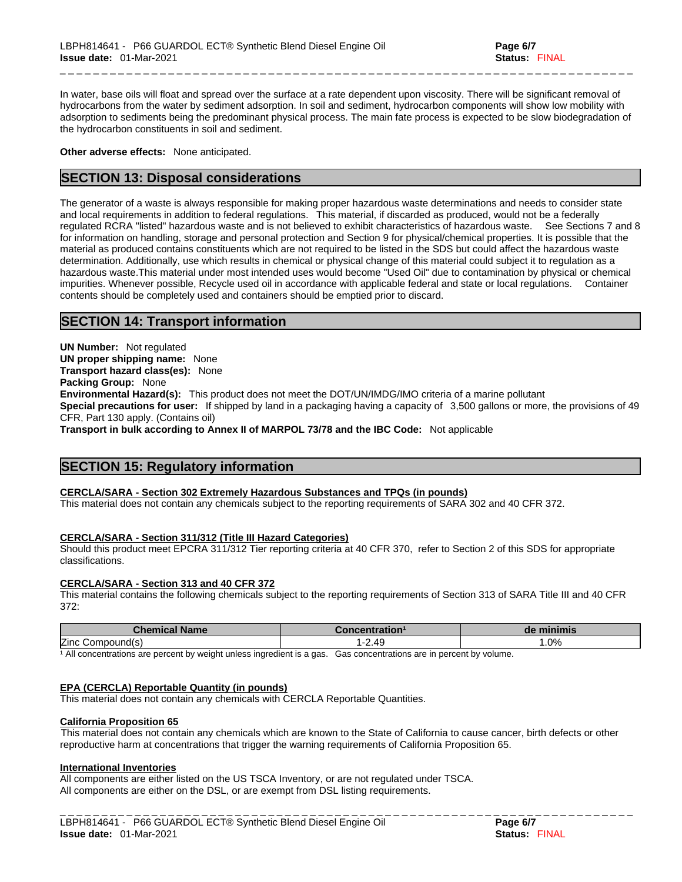In water, base oils will float and spread over the surface at a rate dependent upon viscosity. There will be significant removal of hydrocarbons from the water by sediment adsorption. In soil and sediment, hydrocarbon components will show low mobility with adsorption to sediments being the predominant physical process. The main fate process is expected to be slow biodegradation of the hydrocarbon constituents in soil and sediment.

\_ \_ \_ \_ \_ \_ \_ \_ \_ \_ \_ \_ \_ \_ \_ \_ \_ \_ \_ \_ \_ \_ \_ \_ \_ \_ \_ \_ \_ \_ \_ \_ \_ \_ \_ \_ \_ \_ \_ \_ \_ \_ \_ \_ \_ \_ \_ \_ \_ \_ \_ \_ \_ \_ \_ \_ \_ \_ \_ \_ \_ \_ \_ \_ \_ \_ \_ \_ \_

**Other adverse effects:** None anticipated.

# **SECTION 13: Disposal considerations**

The generator of a waste is always responsible for making proper hazardous waste determinations and needs to consider state and local requirements in addition to federal regulations. This material, if discarded as produced, would not be a federally regulated RCRA "listed" hazardous waste and is not believed to exhibit characteristics of hazardous waste. See Sections 7 and 8 for information on handling, storage and personal protection and Section 9 for physical/chemical properties. It is possible that the material as produced contains constituents which are not required to be listed in the SDS but could affect the hazardous waste determination. Additionally, use which results in chemical or physical change of this material could subject it to regulation as a hazardous waste.This material under most intended uses would become "Used Oil" due to contamination by physical or chemical impurities. Whenever possible, Recycle used oil in accordance with applicable federal and state or local regulations. Container contents should be completely used and containers should be emptied prior to discard.

# **SECTION 14: Transport information**

**UN Number:** Not regulated **UN proper shipping name:** None **Transport hazard class(es):** None **Packing Group:** None **Environmental Hazard(s):** This product does not meet the DOT/UN/IMDG/IMO criteria of a marine pollutant **Special precautions for user:** If shipped by land in a packaging having a capacity of 3,500 gallons or more, the provisions of 49 CFR, Part 130 apply. (Contains oil) **Transport in bulk according to Annex II of MARPOL 73/78 and the IBC Code:** Not applicable

# **SECTION 15: Regulatory information**

#### **CERCLA/SARA - Section 302 Extremely Hazardous Substances and TPQs (in pounds)**

This material does not contain any chemicals subject to the reporting requirements of SARA 302 and 40 CFR 372.

#### **CERCLA/SARA - Section 311/312 (Title III Hazard Categories)**

Should this product meet EPCRA 311/312 Tier reporting criteria at 40 CFR 370, refer to Section 2 of this SDS for appropriate classifications.

#### **CERCLA/SARA - Section 313 and 40 CFR 372**

This material contains the following chemicals subject to the reporting requirements of Section 313 of SARA Title III and 40 CFR 372:

| Chem<br><b>Name</b><br><u>emicar</u> |      | ™inimis<br>d€ |
|--------------------------------------|------|---------------|
| Zinc<br>nmnnı                        | 2.49 | $.0\%$        |

<sup>1</sup> All concentrations are percent by weight unless ingredient is a gas. Gas concentrations are in percent by volume.

#### **EPA (CERCLA) Reportable Quantity (in pounds)**

This material does not contain any chemicals with CERCLA Reportable Quantities.

#### **California Proposition 65**

This material does not contain any chemicals which are known to the State of California to cause cancer, birth defects or other reproductive harm at concentrations that trigger the warning requirements of California Proposition 65.

#### **International Inventories**

All components are either listed on the US TSCA Inventory, or are not regulated under TSCA. All components are either on the DSL, or are exempt from DSL listing requirements.